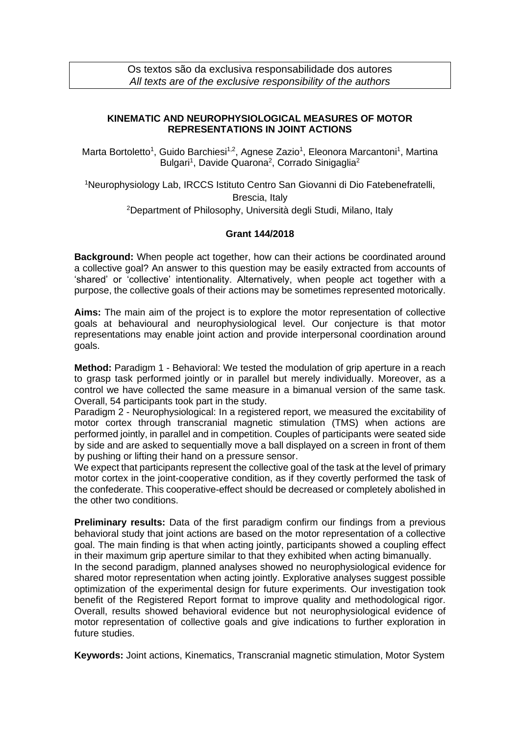Os textos são da exclusiva responsabilidade dos autores *All texts are of the exclusive responsibility of the authors*

## **KINEMATIC AND NEUROPHYSIOLOGICAL MEASURES OF MOTOR REPRESENTATIONS IN JOINT ACTIONS**

Marta Bortoletto<sup>1</sup>, Guido Barchiesi<sup>1,2</sup>, Agnese Zazio<sup>1</sup>, Eleonora Marcantoni<sup>1</sup>, Martina Bulgari<sup>1</sup>, Davide Quarona<sup>2</sup>, Corrado Sinigaglia<sup>2</sup>

<sup>1</sup>Neurophysiology Lab, IRCCS Istituto Centro San Giovanni di Dio Fatebenefratelli, Brescia, Italy <sup>2</sup>Department of Philosophy, Università degli Studi, Milano, Italy

## **Grant 144/2018**

**Background:** When people act together, how can their actions be coordinated around a collective goal? An answer to this question may be easily extracted from accounts of 'shared' or 'collective' intentionality. Alternatively, when people act together with a purpose, the collective goals of their actions may be sometimes represented motorically.

**Aims:** The main aim of the project is to explore the motor representation of collective goals at behavioural and neurophysiological level. Our conjecture is that motor representations may enable joint action and provide interpersonal coordination around goals.

**Method:** Paradigm 1 - Behavioral: We tested the modulation of grip aperture in a reach to grasp task performed jointly or in parallel but merely individually. Moreover, as a control we have collected the same measure in a bimanual version of the same task. Overall, 54 participants took part in the study.

Paradigm 2 - Neurophysiological: In a registered report, we measured the excitability of motor cortex through transcranial magnetic stimulation (TMS) when actions are performed jointly, in parallel and in competition. Couples of participants were seated side by side and are asked to sequentially move a ball displayed on a screen in front of them by pushing or lifting their hand on a pressure sensor.

We expect that participants represent the collective goal of the task at the level of primary motor cortex in the joint-cooperative condition, as if they covertly performed the task of the confederate. This cooperative-effect should be decreased or completely abolished in the other two conditions.

**Preliminary results:** Data of the first paradigm confirm our findings from a previous behavioral study that joint actions are based on the motor representation of a collective goal. The main finding is that when acting jointly, participants showed a coupling effect in their maximum grip aperture similar to that they exhibited when acting bimanually. In the second paradigm, planned analyses showed no neurophysiological evidence for shared motor representation when acting jointly. Explorative analyses suggest possible optimization of the experimental design for future experiments. Our investigation took benefit of the Registered Report format to improve quality and methodological rigor. Overall, results showed behavioral evidence but not neurophysiological evidence of motor representation of collective goals and give indications to further exploration in future studies.

**Keywords:** Joint actions, Kinematics, Transcranial magnetic stimulation, Motor System